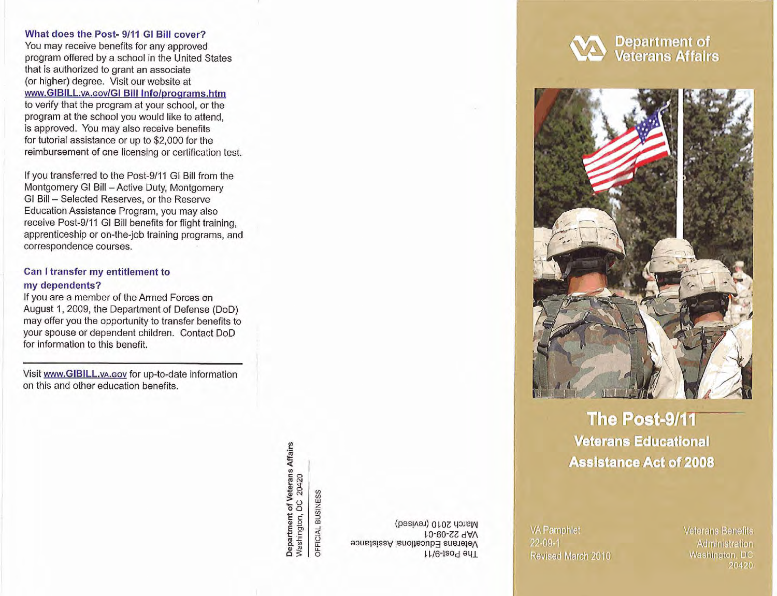#### What does the Post- 9/11 GI Bill cover?

You may receive benefits for any approved program offered by a school in the United States that is authorized to grant an associate (or higher) degree. Visit our website at www.GIBILL.vA.cov/GI Bill Info/programs.htm to verify that the program at your school, or the program at the schaol you would like to attend, is approved. You may also receive benefits for tutorial assistance or up to \$2,000 for the reimbursement of one licensing or certification test.

If you transferred to the Post-9/11 GI Bill from the Montgomery GI Bill - Active Duty, Montgomery Montgomery GI Bill – Active Duty, Montgome<br>GI Bill – Selected Reserves, or the Reserve Education Assistance Program, you may also receive Post-9/11 GI Bill benefits for flight training, apprenticeship or on-the-job training programs, and correspondence courses.

## Can Itransfer **my** entitlement to my dependents?

If you are a member of the Armed Forces on August 1, 2009, the Department of Defense (DoD) may offer you the opportunity to transfer benefits to your spouse or dependent children. Contact DoD for information to this benefit.

Visit www.GIBILL.vA.cov for up-to-date information<br>on this and other education benefits.

Department of Veterans Affairs<br>Washington, DC 20420 **BUSINESS** OFFICIAL

March 2010 (revised) VAP 22-09-01 99 Veterans Educational Assistance The-taoq enT

**22-09-1 Administration** Revised March 2010

# **Washington, DC 20420**

**Department of<br>Veterans Affairs** 



## **The Post-9/11 Veterans Educational Assistance Act of 2008**

VA Pamphlet Veterans Benefits